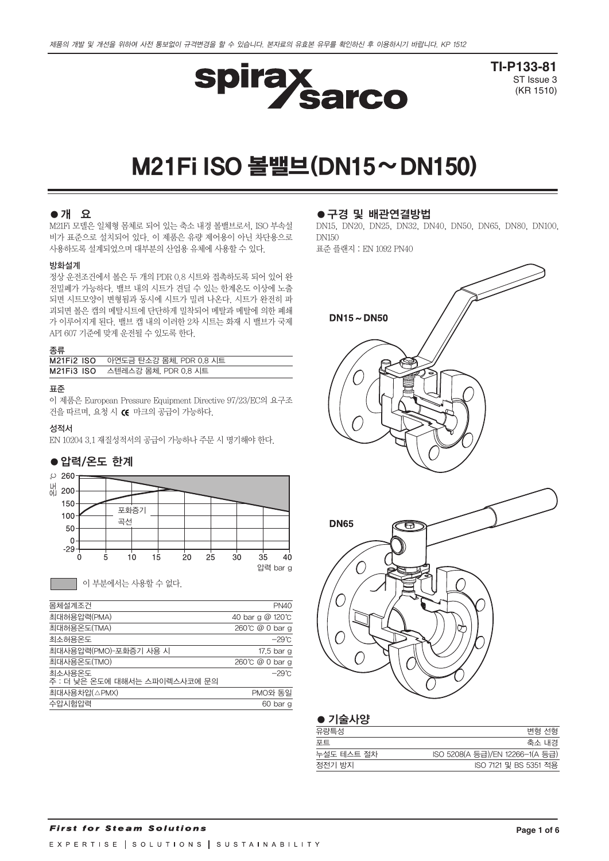

**TI-P133-81** ST Issue 3 (KR 1510)

# M21FiISO볼밸브(DN15~DN150)

## ●개 요

M21Fi 모델은 일체형 몸체로 되어 있는 축소 내경 볼밸브로서, ISO 부속설 비가 표준으로 설치되어 있다. 이 제품은 유량 제어용이 아닌 차단용으로 사용하도록 설계되었으며 대부분의 산업용 유체에 사용할 수 있다.

## 방화설계

정상 운전조건에서 볼은 두 개의 PDR 0.8 시트와 접촉하도록 되어 있어 완 전밀폐가 가능하다. 밸브 내의 시트가 견딜 수 있는 한계온도 이상에 노출 되면 시트모양이 변형됨과 동시에 시트가 밀려 나온다. 시트가 완전히 파 괴되면 볼은 캡의 메탈시트에 단단하게 밀착되어 메탈과 메탈에 의한 폐쇄 가 이루어지게 된다. 밸브 캡 내의 이러한 2차 시트는 화재 시 밸브가 국제 API 607 기준에 맞게 운전될 수 있도록 한다.

#### 종류

| M21Fi2 ISO 아연도금 탄소강 몸체, PDR 0.8 시트 |
|------------------------------------|
| M21Fi3 ISO 스텐레스강 몸체, PDR 0.8 시트    |

#### 표준

이 제품은 European Pressure Equipment Directive 97/23/EC의 요구조 건을 따르며, 요청 시 (< 마크의 공급이 가능하다.

#### 성적서

EN 10204 3.1 재질성적서의 공급이 가능하나 주문 시 명기해야 한다.

#### ●압력/온도 한계



이 부분에서는 사용할 수 없다.

| 몸체설계조건                                  | <b>PN40</b>      |
|-----------------------------------------|------------------|
| 최대허용압력(PMA)                             | 40 bar g @ 120°C |
| 최대허용온도(TMA)                             | 260℃ @ 0 bar g   |
| 최소허용온도                                  | −29℃             |
| 최대사용압력(PMO)-포화증기 사용 시                   | 17.5 bar g       |
| 최대사용온도(TMO)                             | 260°C $@0$ bar g |
| 최소사용온도<br>주 : 더 낮은 온도에 대해서는 스파이렉스사코에 문의 | $-29^{\circ}$ C  |
| 최대사용차압(△PMX)                            | PMO와 동일          |
| 수압시험압력                                  | 60 bar g         |
|                                         |                  |

#### ●구경 및 배관연결방법

DN15, DN20, DN25, DN32, DN40, DN50, DN65, DN80, DN100, DN150 표준 플랜지 : EN 1092 PN40

 $DN15 \sim DN50$ **DN65** 冈 O

| 변형 선형                           |
|---------------------------------|
| 축소 내경                           |
| ISO 5208(A 등급)/EN 12266-1(A 등급) |
| ISO 7121 및 BS 5351 적용           |
|                                 |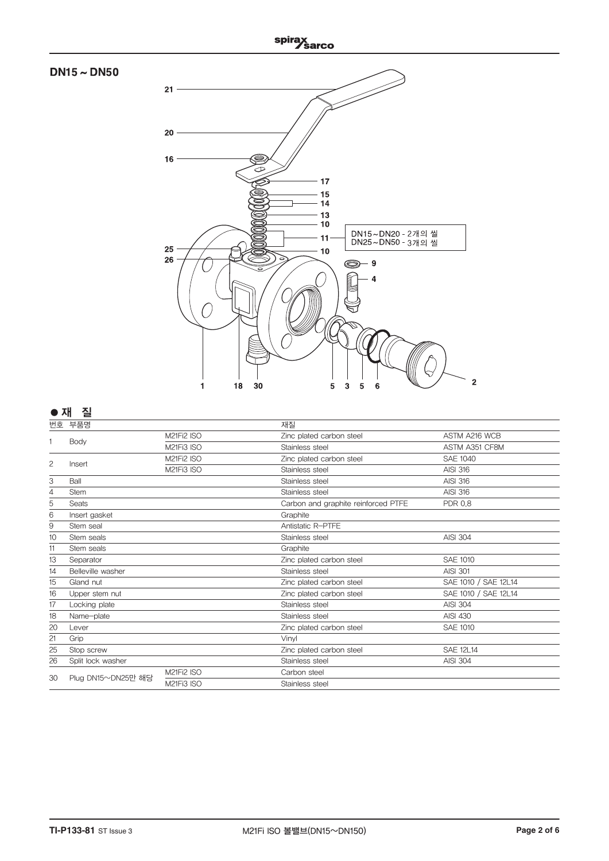

## **●**재질

| 번호             | 부품명                |            | 재질                                  |                      |
|----------------|--------------------|------------|-------------------------------------|----------------------|
|                |                    | M21Fi2 ISO | Zinc plated carbon steel            | ASTM A216 WCB        |
| 1              | Body               | M21Fi3 ISO | Stainless steel                     | ASTM A351 CF8M       |
| $\overline{c}$ |                    | M21Fi2 ISO | Zinc plated carbon steel            | <b>SAE 1040</b>      |
|                | Insert             | M21Fi3 ISO | Stainless steel                     | <b>AISI 316</b>      |
| 3              | Ball               |            | Stainless steel                     | <b>AISI 316</b>      |
| 4              | <b>Stem</b>        |            | Stainless steel                     | <b>AISI 316</b>      |
| 5              | <b>Seats</b>       |            | Carbon and graphite reinforced PTFE | <b>PDR 0.8</b>       |
| 6              | Insert gasket      |            | Graphite                            |                      |
| 9              | Stem seal          |            | Antistatic R-PTFE                   |                      |
| 10             | Stem seals         |            | Stainless steel                     | <b>AISI 304</b>      |
| 11             | Stem seals         |            | Graphite                            |                      |
| 13             | Separator          |            | Zinc plated carbon steel            | SAE 1010             |
| 14             | Belleville washer  |            | Stainless steel                     | <b>AISI 301</b>      |
| 15             | Gland nut          |            | Zinc plated carbon steel            | SAE 1010 / SAE 12L14 |
| 16             | Upper stem nut     |            | Zinc plated carbon steel            | SAE 1010 / SAE 12L14 |
| 17             | Locking plate      |            | Stainless steel                     | <b>AISI 304</b>      |
| 18             | Name-plate         |            | Stainless steel                     | <b>AISI 430</b>      |
| 20             | Lever              |            | Zinc plated carbon steel            | <b>SAE 1010</b>      |
| 21             | Grip               |            | Vinvl                               |                      |
| 25             | Stop screw         |            | Zinc plated carbon steel            | <b>SAE 12L14</b>     |
| 26             | Split lock washer  |            | Stainless steel                     | <b>AISI 304</b>      |
| 30             | Plug DN15~DN25만 해당 | M21Fi2 ISO | Carbon steel                        |                      |
|                |                    | M21Fi3 ISO | Stainless steel                     |                      |
|                |                    |            |                                     |                      |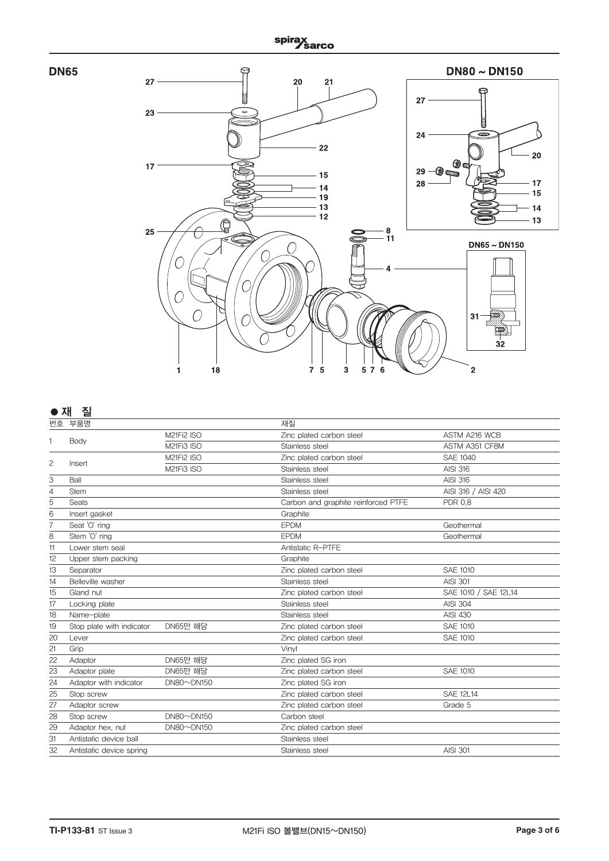



# **●** 재 질

| 번호 | 부품명                       |                   | 재질                                  |                      |
|----|---------------------------|-------------------|-------------------------------------|----------------------|
|    |                           | M21Fi2 ISO        | Zinc plated carbon steel            | ASTM A216 WCB        |
|    | Body                      | M21Fi3 ISO        | Stainless steel                     | ASTM A351 CF8M       |
|    |                           | M21Fi2 ISO        | Zinc plated carbon steel            | <b>SAE 1040</b>      |
| 2  | Insert                    | M21Fi3 ISO        | Stainless steel                     | <b>AISI 316</b>      |
| 3  | Ball                      |                   | Stainless steel                     | <b>AISI 316</b>      |
| 4  | <b>Stem</b>               |                   | Stainless steel                     | AISI 316 / AISI 420  |
| 5  | Seats                     |                   | Carbon and graphite reinforced PTFE | <b>PDR 0.8</b>       |
| 6  | Insert gasket             |                   | Graphite                            |                      |
| 7  | Seat 'O' ring             |                   | <b>EPDM</b>                         | Geothermal           |
| 8  | Stem 'O' ring             |                   | <b>EPDM</b>                         | Geothermal           |
| 11 | Lower stem seal           |                   | Antistatic R-PTFE                   |                      |
| 12 | Upper stem packing        |                   | Graphite                            |                      |
| 13 | Separator                 |                   | Zinc plated carbon steel            | <b>SAE 1010</b>      |
| 14 | Belleville washer         |                   | Stainless steel                     | <b>AISI 301</b>      |
| 15 | Gland nut                 |                   | Zinc plated carbon steel            | SAE 1010 / SAE 12L14 |
| 17 | Locking plate             |                   | Stainless steel                     | <b>AISI 304</b>      |
| 18 | Name-plate                |                   | Stainless steel                     | <b>AISI 430</b>      |
| 19 | Stop plate with indicator | <b>DN65만 해당</b>   | Zinc plated carbon steel            | <b>SAE 1010</b>      |
| 20 | Lever                     |                   | Zinc plated carbon steel            | <b>SAE 1010</b>      |
| 21 | Grip                      |                   | Vinyl                               |                      |
| 22 | Adaptor                   | <b>DN65만 해당</b>   | Zinc plated SG iron                 |                      |
| 23 | Adaptor plate             | <b>DN65만 해당</b>   | Zinc plated carbon steel            | <b>SAE 1010</b>      |
| 24 | Adaptor with indicator    | $DN80 \sim DN150$ | Zinc plated SG iron                 |                      |
| 25 | Stop screw                |                   | Zinc plated carbon steel            | <b>SAE 12L14</b>     |
| 27 | Adaptor screw             |                   | Zinc plated carbon steel            | Grade 5              |
| 28 | Stop screw                | $DN80 \sim DN150$ | Carbon steel                        |                      |
| 29 | Adaptor hex, nut          | $DN80 \sim DN150$ | Zinc plated carbon steel            |                      |
| 31 | Antistatic device ball    |                   | Stainless steel                     |                      |
| 32 | Antistatic device spring  |                   | Stainless steel                     | <b>AISI 301</b>      |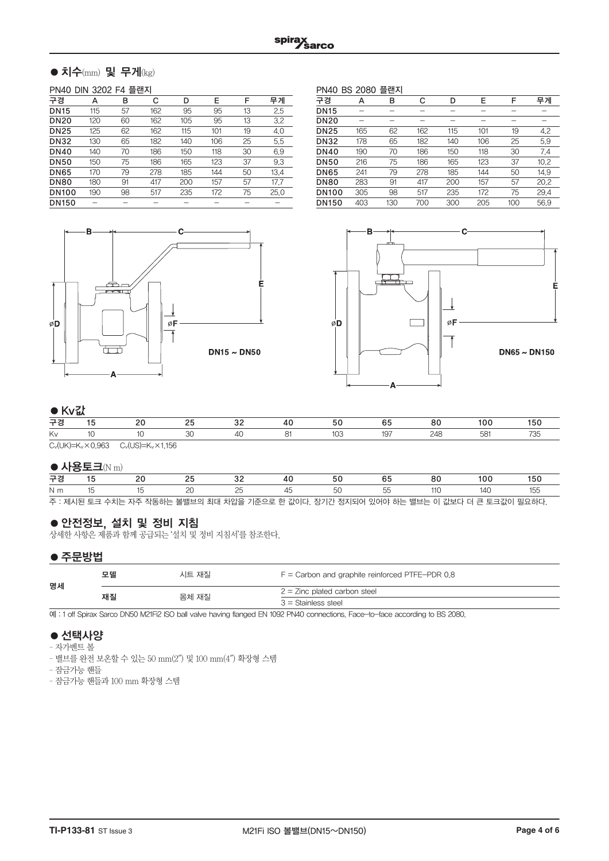# $\bullet$  치수(mm) 및 무게(kg)

#### PN40 DIN 3202 F4 플랜지

|              | -<br>__ |    |     |     |     |    |      |  |  |  |
|--------------|---------|----|-----|-----|-----|----|------|--|--|--|
| 구경           | А       | в  | С   | D   | E   | F  | 무게   |  |  |  |
| <b>DN15</b>  | 115     | 57 | 162 | 95  | 95  | 13 | 2.5  |  |  |  |
| <b>DN20</b>  | 120     | 60 | 162 | 105 | 95  | 13 | 3.2  |  |  |  |
| <b>DN25</b>  | 125     | 62 | 162 | 115 | 101 | 19 | 4.0  |  |  |  |
| <b>DN32</b>  | 130     | 65 | 182 | 140 | 106 | 25 | 5.5  |  |  |  |
| <b>DN40</b>  | 140     | 70 | 186 | 150 | 118 | 30 | 6.9  |  |  |  |
| <b>DN50</b>  | 150     | 75 | 186 | 165 | 123 | 37 | 9.3  |  |  |  |
| <b>DN65</b>  | 170     | 79 | 278 | 185 | 144 | 50 | 13.4 |  |  |  |
| <b>DN80</b>  | 180     | 91 | 417 | 200 | 157 | 57 | 17.7 |  |  |  |
| <b>DN100</b> | 190     | 98 | 517 | 235 | 172 | 75 | 25.0 |  |  |  |
| <b>DN150</b> |         |    |     |     |     |    |      |  |  |  |
|              |         |    |     |     |     |    |      |  |  |  |

PN40 BS 2080 플랜지 구경 A B C D E F 무게 DN15 - - - - - - - -DN20 - - - - - - - -**DN25** 165 62 162 115 101 19 4.2<br>**DN32** 178 65 182 140 106 25 5.9 DN32 178 65 182 140 106 25 5.9 00 190 70 186 150 118 30 7.4<br>00 216 75 186 165 123 37 10.2 001 216 75 186 165 123 37 10.2<br>001 241 79 278 185 144 50 14.9 DN65 241 79 278 185 144 50 14.9 DN80 283 91 417 200 157 57 20.2 DN100 305 98 517 235 172 75 29.4 DN150 403 130 700 300 205 100 56.9





## ●Kv값

|    | $\bullet$ inverse |                                                                                                                                                                                                                                 |  |  |  |   |    |     |          |  |  |
|----|-------------------|---------------------------------------------------------------------------------------------------------------------------------------------------------------------------------------------------------------------------------|--|--|--|---|----|-----|----------|--|--|
| 구경 |                   |                                                                                                                                                                                                                                 |  |  |  |   | h. | оv. | $\cdots$ |  |  |
| Kv |                   |                                                                                                                                                                                                                                 |  |  |  | い |    |     |          |  |  |
|    |                   | $\sim$ . The contract of the contract of the contract of the contract of the contract of the contract of the contract of the contract of the contract of the contract of the contract of the contract of the contract of the co |  |  |  |   |    |     |          |  |  |

 $C_v(UK)=K_v\times 0.963$   $C_v(US)=K_v\times 1.156$ 

#### $\bullet$  사용토크(N m)

| 구경  |  |  |                                                                                         |  |      | 50 |
|-----|--|--|-----------------------------------------------------------------------------------------|--|------|----|
| N m |  |  |                                                                                         |  | 14 C |    |
|     |  |  | 주 : 제시된 토크 수치는 자주 작동하는 볼밸브의 최대 차압을 기준으로 한 값이다. 장기간 정지되어 있어야 하는 밸브는 이 값보다 더 큰 토크값이 필요하다. |  |      |    |

# ●안전정보, 설치 및 정비 지침

상세한 사항은 제품과 함께 공급되는 '설치 및 정비 지침서'를 참조한다.

## ●주문방법

| 명세 | 모델<br>시트 재질 |       | $F =$ Carbon and graphite reinforced PTFE-PDR 0.8 |  |  |
|----|-------------|-------|---------------------------------------------------|--|--|
|    | 재질          | 몸체 재질 | $2 =$ Zinc plated carbon steel                    |  |  |
|    |             |       | $3 =$ Stainless steel                             |  |  |

예 : 1 off Spirax Sarco DN50 M21Fi2 ISO ball valve having flanged EN 1092 PN40 connections. Face-to-face according to BS 2080.

# ● 선택사양

- 자가벤트 볼
- 밸브를 완전 보온할 수 있는 50 mm(2″) 및 100 mm(4″) 확장형 스템
- 잠금가능 핸들
- 잠금가능 핸들과 100 mm 확장형 스템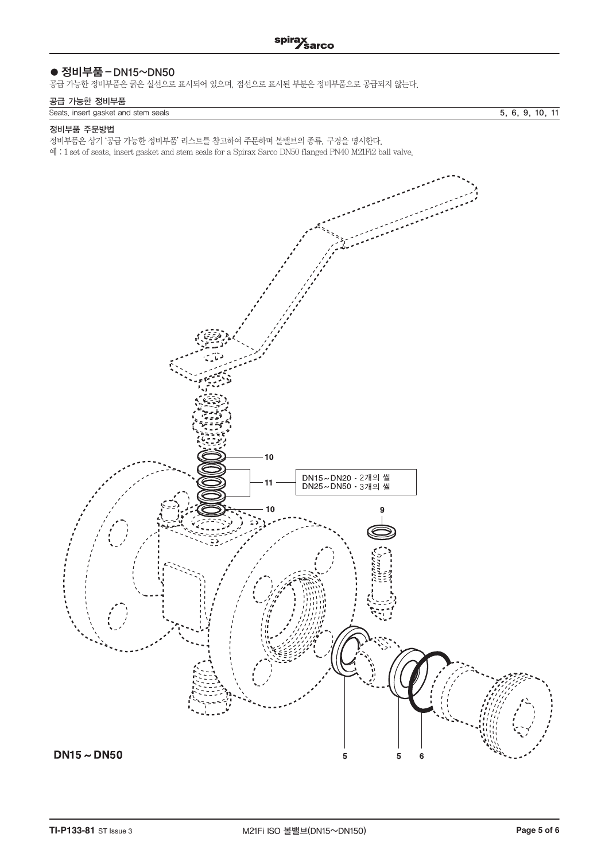# ● 정비부품 – DN15~DN50

공급 가능한 정비부품은 굵은 실선으로 표시되어 있으며, 점선으로 표시된 부분은 정비부품으로 공급되지 않는다.

## 공급 가능한 정비부품

|  | Seats insert gasket and stem seals |  |
|--|------------------------------------|--|

 $\overline{5, 6, 9, 10, 11}$ 

#### 정비부품 주문방법

정비부품은 상기 '공급 가능한 정비부품' 리스트를 참고하여 주문하며 볼밸브의 종류, 구경을 명시한다.

예 : 1 set of seats, insert gasket and stem seals for a Spirax Sarco DN50 flanged PN40 M21Fi2 ball valve.